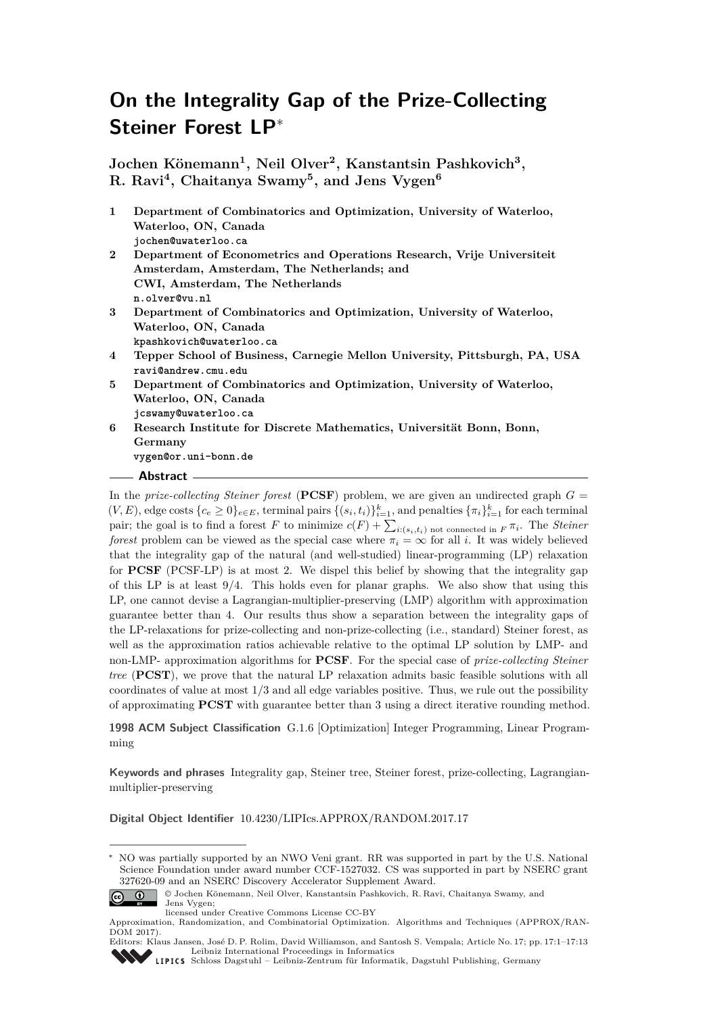# **On the Integrality Gap of the Prize-Collecting Steiner Forest LP**<sup>∗</sup>

**Jochen Könemann<sup>1</sup> , Neil Olver<sup>2</sup> , Kanstantsin Pashkovich<sup>3</sup> , R. Ravi<sup>4</sup> , Chaitanya Swamy<sup>5</sup> , and Jens Vygen<sup>6</sup>**

| $\mathbf{1}$ | Department of Combinatorics and Optimization, University of Waterloo,      |
|--------------|----------------------------------------------------------------------------|
|              | Waterloo, ON, Canada                                                       |
|              | jochen@uwaterloo.ca                                                        |
| $\bf{2}$     | Department of Econometrics and Operations Research, Vrije Universiteit     |
|              | Amsterdam, Amsterdam, The Netherlands; and                                 |
|              | CWI, Amsterdam, The Netherlands                                            |
|              | n.olver@vu.nl                                                              |
| 3            | Department of Combinatorics and Optimization, University of Waterloo,      |
|              | Waterloo, ON, Canada                                                       |
|              | kpashkovich@uwaterloo.ca                                                   |
| 4            | Tepper School of Business, Carnegie Mellon University, Pittsburgh, PA, USA |
|              | ravi@andrew.cmu.edu                                                        |
| 5.           | Department of Combinatorics and Optimization, University of Waterloo,      |
|              | Waterloo, ON, Canada                                                       |
|              | jcswamy@uwaterloo.ca                                                       |
| 6            | Research Institute for Discrete Mathematics, Universität Bonn, Bonn,       |
|              | Germany                                                                    |
|              | vygen@or.uni-bonn.de                                                       |
|              |                                                                            |

#### **Abstract**

In the *prize-collecting Steiner forest* (PCSF) problem, we are given an undirected graph  $G =$  $(V, E)$ , edge costs  ${c_e \ge 0}_{e \in E}$ , terminal pairs  ${(s_i, t_i)}_{i=1}^k$ , and penalties  ${\lbrace \pi_i \rbrace}_{i=1}^k$  for each terminal pair; the goal is to find a forest *F* to minimize  $c(F) + \sum_{i:(s_i,t_i) \text{ not connected in } F} \pi_i$ . The *Steiner forest* problem can be viewed as the special case where  $\pi_i = \infty$  for all *i*. It was widely believed that the integrality gap of the natural (and well-studied) linear-programming (LP) relaxation for **PCSF** [\(PCSF-LP\)](#page-1-0) is at most 2. We dispel this belief by showing that the integrality gap of this LP is at least 9*/*4. This holds even for planar graphs. We also show that using this LP, one cannot devise a Lagrangian-multiplier-preserving (LMP) algorithm with approximation guarantee better than 4. Our results thus show a separation between the integrality gaps of the LP-relaxations for prize-collecting and non-prize-collecting (i.e., standard) Steiner forest, as well as the approximation ratios achievable relative to the optimal LP solution by LMP- and non-LMP- approximation algorithms for **PCSF**. For the special case of *prize-collecting Steiner tree* (**PCST**), we prove that the natural LP relaxation admits basic feasible solutions with all coordinates of value at most 1*/*3 and all edge variables positive. Thus, we rule out the possibility of approximating **PCST** with guarantee better than 3 using a direct iterative rounding method.

**1998 ACM Subject Classification** G.1.6 [Optimization] Integer Programming, Linear Programming

**Keywords and phrases** Integrality gap, Steiner tree, Steiner forest, prize-collecting, Lagrangianmultiplier-preserving

**Digital Object Identifier** [10.4230/LIPIcs.APPROX/RANDOM.2017.17](http://dx.doi.org/10.4230/LIPIcs.APPROX/RANDOM.2017.17)

NO was partially supported by an NWO Veni grant. RR was supported in part by the U.S. National Science Foundation under award number CCF-1527032. CS was supported in part by NSERC grant 327620-09 and an NSERC Discovery Accelerator Supplement Award.



<sup>©</sup> Jochen Könemann, Neil Olver, Kanstantsin Pashkovich, R. Ravi, Chaitanya Swamy, and

Approximation, Randomization, and Combinatorial Optimization. Algorithms and Techniques (APPROX/RAN-DOM 2017).



Jens Vygen; licensed under Creative Commons License CC-BY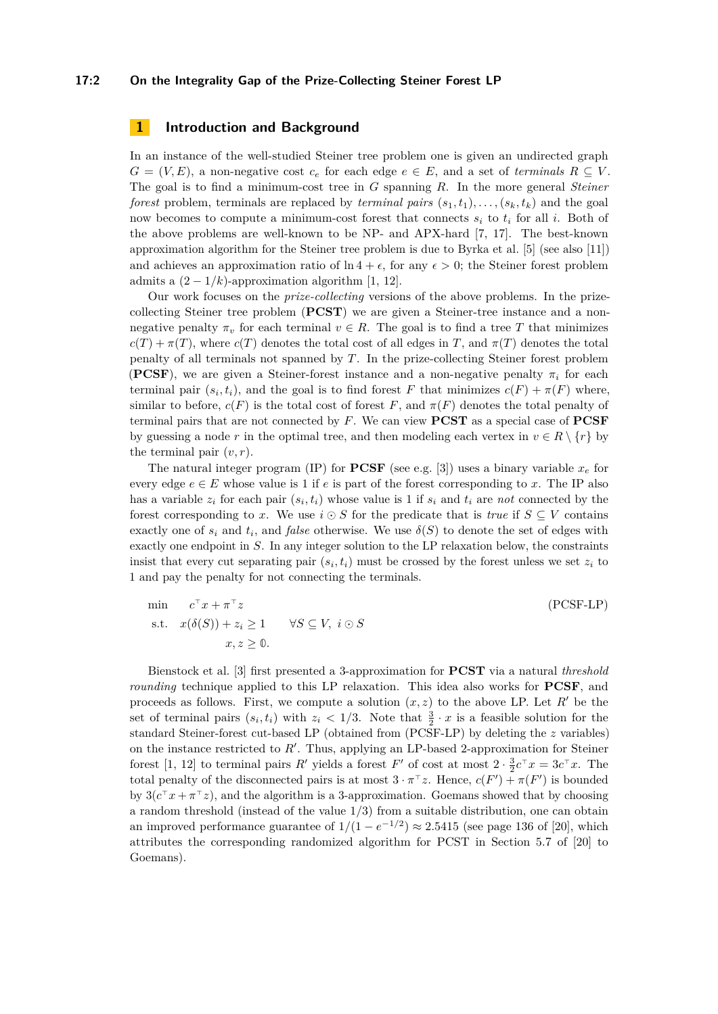## **17:2 On the Integrality Gap of the Prize-Collecting Steiner Forest LP**

## **1 Introduction and Background**

In an instance of the well-studied Steiner tree problem one is given an undirected graph  $G = (V, E)$ , a non-negative cost  $c_e$  for each edge  $e \in E$ , and a set of *terminals*  $R \subseteq V$ . The goal is to find a minimum-cost tree in *G* spanning *R*. In the more general *Steiner forest* problem, terminals are replaced by *terminal pairs*  $(s_1, t_1), \ldots, (s_k, t_k)$  and the goal now becomes to compute a minimum-cost forest that connects  $s_i$  to  $t_i$  for all *i*. Both of the above problems are well-known to be NP- and APX-hard [\[7,](#page-10-0) [17\]](#page-11-0). The best-known approximation algorithm for the Steiner tree problem is due to Byrka et al. [\[5\]](#page-10-1) (see also [\[11\]](#page-10-2)) and achieves an approximation ratio of  $\ln 4 + \epsilon$ , for any  $\epsilon > 0$ ; the Steiner forest problem admits a  $(2 - 1/k)$ -approximation algorithm [\[1,](#page-10-3) [12\]](#page-10-4).

Our work focuses on the *prize-collecting* versions of the above problems. In the prizecollecting Steiner tree problem (**PCST**) we are given a Steiner-tree instance and a nonnegative penalty  $\pi_v$  for each terminal  $v \in R$ . The goal is to find a tree *T* that minimizes  $c(T) + \pi(T)$ , where  $c(T)$  denotes the total cost of all edges in *T*, and  $\pi(T)$  denotes the total penalty of all terminals not spanned by *T*. In the prize-collecting Steiner forest problem (**PCSF**), we are given a Steiner-forest instance and a non-negative penalty  $\pi_i$  for each terminal pair  $(s_i, t_i)$ , and the goal is to find forest *F* that minimizes  $c(F) + \pi(F)$  where, similar to before,  $c(F)$  is the total cost of forest F, and  $\pi(F)$  denotes the total penalty of terminal pairs that are not connected by *F*. We can view **PCST** as a special case of **PCSF** by guessing a node *r* in the optimal tree, and then modeling each vertex in  $v \in R \setminus \{r\}$  by the terminal pair  $(v, r)$ .

The natural integer program (IP) for **PCSF** (see e.g. [\[3\]](#page-10-5)) uses a binary variable  $x_e$  for every edge  $e \in E$  whose value is 1 if *e* is part of the forest corresponding to *x*. The IP also has a variable  $z_i$  for each pair  $(s_i, t_i)$  whose value is 1 if  $s_i$  and  $t_i$  are *not* connected by the forest corresponding to x. We use  $i \odot S$  for the predicate that is *true* if  $S \subseteq V$  contains exactly one of  $s_i$  and  $t_i$ , and *false* otherwise. We use  $\delta(S)$  to denote the set of edges with exactly one endpoint in *S*. In any integer solution to the LP relaxation below, the constraints insist that every cut separating pair  $(s_i, t_i)$  must be crossed by the forest unless we set  $z_i$  to 1 and pay the penalty for not connecting the terminals.

<span id="page-1-0"></span>
$$
\min \n\begin{aligned}\n& c^{\top} x + \pi^{\top} z \\
\text{s.t.} \quad &x(\delta(S)) + z_i \ge 1 \\
&x, z \ge 0.\n\end{aligned}\n\quad \forall S \subseteq V, \ i \odot S
$$
\n(PCSF-LP)

Bienstock et al. [\[3\]](#page-10-5) first presented a 3-approximation for **PCST** via a natural *threshold rounding* technique applied to this LP relaxation. This idea also works for **PCSF**, and proceeds as follows. First, we compute a solution  $(x, z)$  to the above LP. Let  $R'$  be the set of terminal pairs  $(s_i, t_i)$  with  $z_i < 1/3$ . Note that  $\frac{3}{2} \cdot x$  is a feasible solution for the standard Steiner-forest cut-based LP (obtained from [\(PCSF-LP\)](#page-1-0) by deleting the *z* variables) on the instance restricted to  $R'$ . Thus, applying an LP-based 2-approximation for Steiner forest [\[1,](#page-10-3) [12\]](#page-10-4) to terminal pairs *R'* yields a forest *F'* of cost at most  $2 \cdot \frac{3}{2}c^{\top}x = 3c^{\top}x$ . The total penalty of the disconnected pairs is at most  $3 \cdot \pi^{\top} z$ . Hence,  $c(F') + \pi(F')$  is bounded by  $3(c^{\top}x + \pi^{\top}z)$ , and the algorithm is a 3-approximation. Goemans showed that by choosing a random threshold (instead of the value 1*/*3) from a suitable distribution, one can obtain an improved performance guarantee of  $1/(1 - e^{-1/2}) \approx 2.5415$  (see page 136 of [\[20\]](#page-11-1), which attributes the corresponding randomized algorithm for PCST in Section 5.7 of [\[20\]](#page-11-1) to Goemans).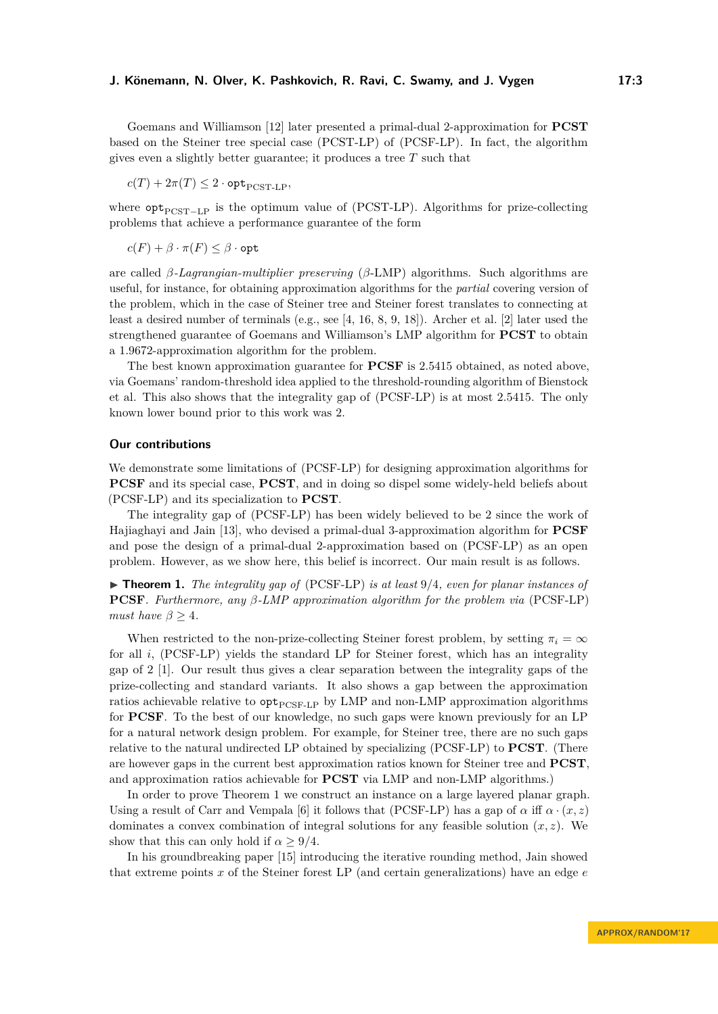Goemans and Williamson [\[12\]](#page-10-4) later presented a primal-dual 2-approximation for **PCST** based on the Steiner tree special case (PCST-LP) of [\(PCSF-LP\)](#page-1-0). In fact, the algorithm gives even a slightly better guarantee; it produces a tree *T* such that

 $c(T) + 2\pi(T) \leq 2 \cdot \mathsf{opt}_{\text{PCST-LP}},$ 

where  $opt<sub>PCST–LP</sub>$  is the optimum value of (PCST-LP). Algorithms for prize-collecting problems that achieve a performance guarantee of the form

 $c(F) + \beta \cdot \pi(F) \leq \beta \cdot \mathsf{opt}$ 

are called *β-Lagrangian-multiplier preserving* (*β*-LMP) algorithms. Such algorithms are useful, for instance, for obtaining approximation algorithms for the *partial* covering version of the problem, which in the case of Steiner tree and Steiner forest translates to connecting at least a desired number of terminals (e.g., see [\[4,](#page-10-6) [16,](#page-10-7) [8,](#page-10-8) [9,](#page-10-9) [18\]](#page-11-2)). Archer et al. [\[2\]](#page-10-10) later used the strengthened guarantee of Goemans and Williamson's LMP algorithm for **PCST** to obtain a 1*.*9672-approximation algorithm for the problem.

The best known approximation guarantee for **PCSF** is 2*.*5415 obtained, as noted above, via Goemans' random-threshold idea applied to the threshold-rounding algorithm of Bienstock et al. This also shows that the integrality gap of [\(PCSF-LP\)](#page-1-0) is at most 2*.*5415. The only known lower bound prior to this work was 2.

#### **Our contributions**

We demonstrate some limitations of [\(PCSF-LP\)](#page-1-0) for designing approximation algorithms for **PCSF** and its special case, **PCST**, and in doing so dispel some widely-held beliefs about [\(PCSF-LP\)](#page-1-0) and its specialization to **PCST**.

The integrality gap of [\(PCSF-LP\)](#page-1-0) has been widely believed to be 2 since the work of Hajiaghayi and Jain [\[13\]](#page-10-11), who devised a primal-dual 3-approximation algorithm for **PCSF** and pose the design of a primal-dual 2-approximation based on [\(PCSF-LP\)](#page-1-0) as an open problem. However, as we show here, this belief is incorrect. Our main result is as follows.

<span id="page-2-0"></span>▶ **Theorem 1.** *The integrality gap of* [\(PCSF-LP\)](#page-1-0) *is at least* 9/4*, even for planar instances of* **PCSF***. Furthermore, any β-LMP approximation algorithm for the problem via* [\(PCSF-LP\)](#page-1-0) *must have*  $\beta \geq 4$ *.* 

When restricted to the non-prize-collecting Steiner forest problem, by setting  $\pi_i = \infty$ for all *i*, [\(PCSF-LP\)](#page-1-0) yields the standard LP for Steiner forest, which has an integrality gap of 2 [\[1\]](#page-10-3). Our result thus gives a clear separation between the integrality gaps of the prize-collecting and standard variants. It also shows a gap between the approximation ratios achievable relative to  $opt_{PCSF-LP}$  $opt_{PCSF-LP}$  $opt_{PCSF-LP}$  by LMP and non-LMP approximation algorithms for **PCSF**. To the best of our knowledge, no such gaps were known previously for an LP for a natural network design problem. For example, for Steiner tree, there are no such gaps relative to the natural undirected LP obtained by specializing [\(PCSF-LP\)](#page-1-0) to **PCST**. (There are however gaps in the current best approximation ratios known for Steiner tree and **PCST**, and approximation ratios achievable for **PCST** via LMP and non-LMP algorithms.)

In order to prove Theorem [1](#page-2-0) we construct an instance on a large layered planar graph. Using a result of Carr and Vempala [\[6\]](#page-10-12) it follows that [\(PCSF-LP\)](#page-1-0) has a gap of  $\alpha$  iff  $\alpha \cdot (x, z)$ dominates a convex combination of integral solutions for any feasible solution  $(x, z)$ . We show that this can only hold if  $\alpha > 9/4$ .

In his groundbreaking paper [\[15\]](#page-10-13) introducing the iterative rounding method, Jain showed that extreme points *x* of the Steiner forest LP (and certain generalizations) have an edge *e*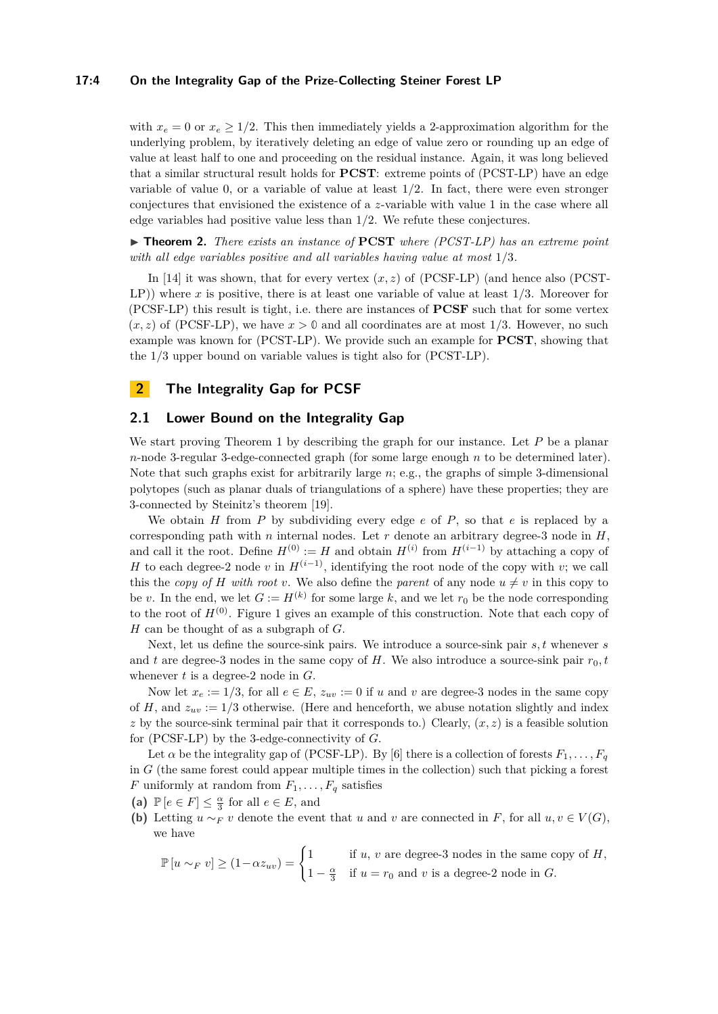## **17:4 On the Integrality Gap of the Prize-Collecting Steiner Forest LP**

with  $x_e = 0$  or  $x_e \ge 1/2$ . This then immediately yields a 2-approximation algorithm for the underlying problem, by iteratively deleting an edge of value zero or rounding up an edge of value at least half to one and proceeding on the residual instance. Again, it was long believed that a similar structural result holds for **PCST**: extreme points of (PCST-LP) have an edge variable of value 0, or a variable of value at least 1*/*2. In fact, there were even stronger conjectures that envisioned the existence of a *z*-variable with value 1 in the case where all edge variables had positive value less than 1*/*2. We refute these conjectures.

<span id="page-3-0"></span>I **Theorem 2.** *There exists an instance of* **PCST** *where (PCST-LP) has an extreme point with all edge variables positive and all variables having value at most* 1*/*3*.*

In [\[14\]](#page-10-14) it was shown, that for every vertex  $(x, z)$  of [\(PCSF-LP\)](#page-1-0) (and hence also (PCST-LP)) where *x* is positive, there is at least one variable of value at least 1*/*3. Moreover for [\(PCSF-LP\)](#page-1-0) this result is tight, i.e. there are instances of **PCSF** such that for some vertex  $(x, z)$  of [\(PCSF-LP\)](#page-1-0), we have  $x > 0$  and all coordinates are at most 1/3. However, no such example was known for (PCST-LP). We provide such an example for **PCST**, showing that the 1*/*3 upper bound on variable values is tight also for (PCST-LP).

## **2 The Integrality Gap for PCSF**

## **2.1 Lower Bound on the Integrality Gap**

We start proving Theorem [1](#page-2-0) by describing the graph for our instance. Let *P* be a planar *n*-node 3-regular 3-edge-connected graph (for some large enough *n* to be determined later). Note that such graphs exist for arbitrarily large *n*; e.g., the graphs of simple 3-dimensional polytopes (such as planar duals of triangulations of a sphere) have these properties; they are 3-connected by Steinitz's theorem [\[19\]](#page-11-3).

We obtain  $H$  from  $P$  by subdividing every edge  $e$  of  $P$ , so that  $e$  is replaced by a corresponding path with  $n$  internal nodes. Let  $r$  denote an arbitrary degree-3 node in  $H$ , and call it the root. Define  $H^{(0)} := H$  and obtain  $H^{(i)}$  from  $H^{(i-1)}$  by attaching a copy of *H* to each degree-2 node *v* in  $H^{(i-1)}$ , identifying the root node of the copy with *v*; we call this the *copy of H* with root *v*. We also define the *parent* of any node  $u \neq v$  in this copy to be *v*. In the end, we let  $G := H^{(k)}$  for some large *k*, and we let  $r_0$  be the node corresponding to the root of  $H^{(0)}$ . Figure [1](#page-4-0) gives an example of this construction. Note that each copy of *H* can be thought of as a subgraph of *G*.

Next, let us define the source-sink pairs. We introduce a source-sink pair *s, t* whenever *s* and  $t$  are degree-3 nodes in the same copy of  $H$ . We also introduce a source-sink pair  $r_0$ ,  $t_0$ whenever *t* is a degree-2 node in *G*.

Now let  $x_e := 1/3$ , for all  $e \in E$ ,  $z_{uv} := 0$  if *u* and *v* are degree-3 nodes in the same copy of *H*, and  $z_{uv} := 1/3$  otherwise. (Here and henceforth, we abuse notation slightly and index *z* by the source-sink terminal pair that it corresponds to.) Clearly,  $(x, z)$  is a feasible solution for [\(PCSF-LP\)](#page-1-0) by the 3-edge-connectivity of *G*.

Let  $\alpha$  be the integrality gap of [\(PCSF-LP\)](#page-1-0). By [\[6\]](#page-10-12) there is a collection of forests  $F_1, \ldots, F_q$ in *G* (the same forest could appear multiple times in the collection) such that picking a forest *F* uniformly at random from  $F_1, \ldots, F_q$  satisfies

(a)  $\mathbb{P}\left[e \in F\right] \leq \frac{\alpha}{3}$  for all  $e \in E$ , and

**(b)** Letting  $u \sim_F v$  denote the event that *u* and *v* are connected in *F*, for all  $u, v \in V(G)$ , we have

$$
\mathbb{P}\left[u \sim_F v\right] \ge (1 - \alpha z_{uv}) = \begin{cases} 1 & \text{if } u, v \text{ are degree-3 nodes in the same copy of } H, \\ 1 - \frac{\alpha}{3} & \text{if } u = r_0 \text{ and } v \text{ is a degree-2 node in } G. \end{cases}
$$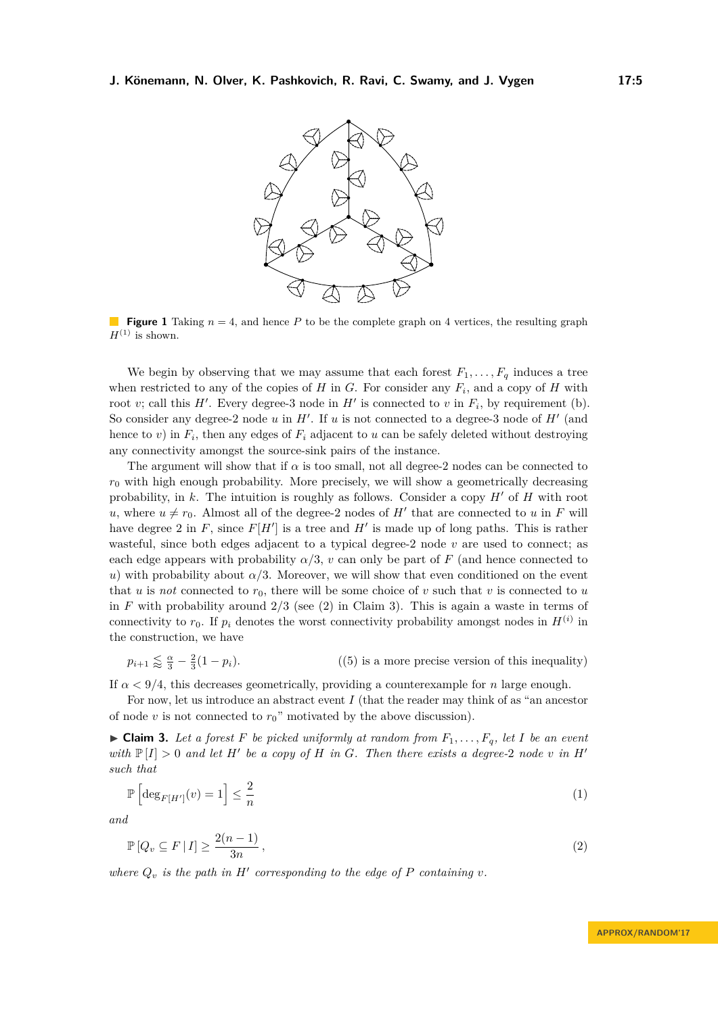<span id="page-4-0"></span>

**Figure 1** Taking  $n = 4$ , and hence *P* to be the complete graph on 4 vertices, the resulting graph  $H^{(1)}$  is shown.

We begin by observing that we may assume that each forest  $F_1, \ldots, F_q$  induces a tree when restricted to any of the copies of  $H$  in  $G$ . For consider any  $F_i$ , and a copy of  $H$  with root *v*; call this  $H'$ . Every degree-3 node in  $H'$  is connected to *v* in  $F_i$ , by requirement (b). So consider any degree-2 node  $u$  in  $H'$ . If  $u$  is not connected to a degree-3 node of  $H'$  (and hence to *v*) in  $F_i$ , then any edges of  $F_i$  adjacent to *u* can be safely deleted without destroying any connectivity amongst the source-sink pairs of the instance.

The argument will show that if  $\alpha$  is too small, not all degree-2 nodes can be connected to  $r<sub>0</sub>$  with high enough probability. More precisely, we will show a geometrically decreasing probability, in  $k$ . The intuition is roughly as follows. Consider a copy  $H'$  of  $H$  with root *u*, where  $u \neq r_0$ . Almost all of the degree-2 nodes of *H*<sup> $\prime$ </sup> that are connected to *u* in *F* will have degree 2 in  $F$ , since  $F[H']$  is a tree and  $H'$  is made up of long paths. This is rather wasteful, since both edges adjacent to a typical degree-2 node *v* are used to connect; as each edge appears with probability  $\alpha/3$ , *v* can only be part of *F* (and hence connected to *u*) with probability about  $\alpha/3$ . Moreover, we will show that even conditioned on the event that *u* is *not* connected to  $r_0$ , there will be some choice of *v* such that *v* is connected to *u* in *F* with probability around 2*/*3 (see [\(2\)](#page-4-1) in Claim [3\)](#page-4-2). This is again a waste in terms of connectivity to  $r_0$ . If  $p_i$  denotes the worst connectivity probability amongst nodes in  $H^{(i)}$  in the construction, we have

 $p_{i+1} \lessapprox \frac{\alpha}{3} - \frac{2}{3}$  $((5)$  $((5)$  is a more precise version of this inequality)

If  $\alpha$  < 9/4, this decreases geometrically, providing a counterexample for *n* large enough.

For now, let us introduce an abstract event *I* (that the reader may think of as "an ancestor of node *v* is not connected to  $r_0$ " motivated by the above discussion).

<span id="page-4-2"></span> $\triangleright$  **Claim 3.** Let a forest F be picked uniformly at random from  $F_1, \ldots, F_q$ , let I be an event *with*  $\mathbb{P}[I] > 0$  *and let*  $H'$  *be a copy of*  $H$  *in*  $G$ *. Then there exists a degree-2 node v in*  $H'$ *such that*

<span id="page-4-3"></span>
$$
\mathbb{P}\left[\deg_{F[H']}(v) = 1\right] \le \frac{2}{n} \tag{1}
$$

<span id="page-4-1"></span>*and*

$$
\mathbb{P}\left[Q_v \subseteq F \mid I\right] \ge \frac{2(n-1)}{3n},\tag{2}
$$

where  $Q_v$  is the path in  $H'$  corresponding to the edge of  $P$  containing  $v$ .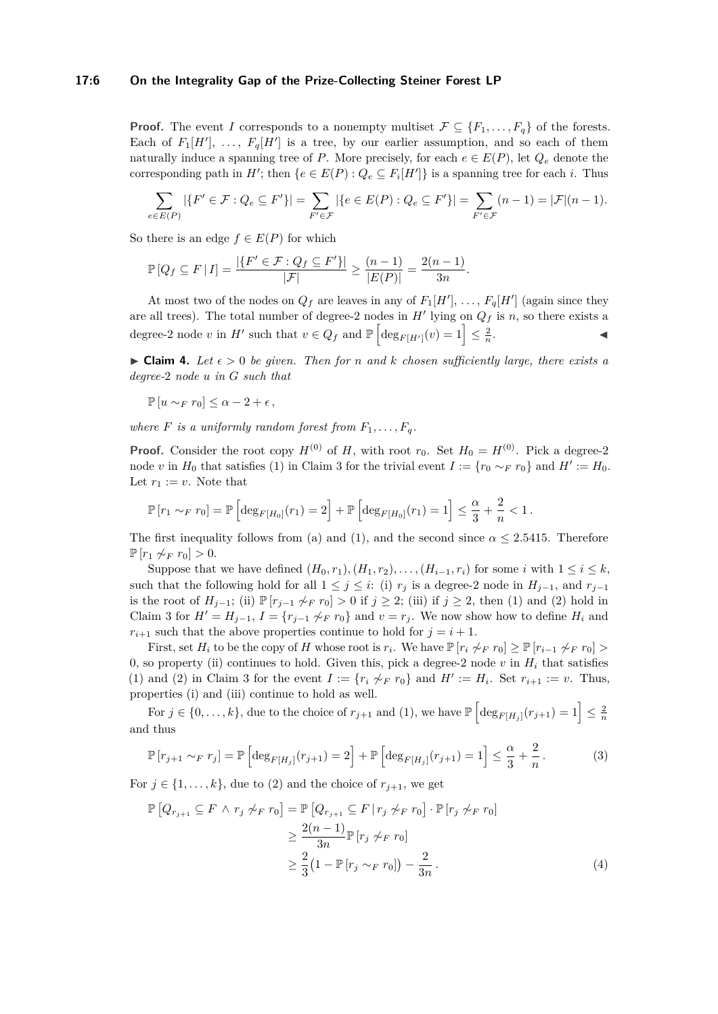#### **17:6 On the Integrality Gap of the Prize-Collecting Steiner Forest LP**

**Proof.** The event *I* corresponds to a nonempty multiset  $\mathcal{F} \subseteq \{F_1, \ldots, F_q\}$  of the forests. Each of  $F_1[H']$ , ...,  $F_q[H']$  is a tree, by our earlier assumption, and so each of them naturally induce a spanning tree of *P*. More precisely, for each  $e \in E(P)$ , let  $Q_e$  denote the corresponding path in  $H'$ ; then  ${e \in E(P) : Q_e \subseteq F_i[H'] }$  is a spanning tree for each *i*. Thus

$$
\sum_{e \in E(P)} |\{F' \in \mathcal{F} : Q_e \subseteq F'\}| = \sum_{F' \in \mathcal{F}} |\{e \in E(P) : Q_e \subseteq F'\}| = \sum_{F' \in \mathcal{F}} (n-1) = |\mathcal{F}|(n-1).
$$

So there is an edge  $f \in E(P)$  for which

$$
\mathbb{P}[Q_f \subseteq F | I] = \frac{|\{F' \in \mathcal{F} : Q_f \subseteq F'\}|}{|\mathcal{F}|} \ge \frac{(n-1)}{|E(P)|} = \frac{2(n-1)}{3n}.
$$

At most two of the nodes on  $Q_f$  are leaves in any of  $F_1[H']$ , ...,  $F_q[H']$  (again since they are all trees). The total number of degree-2 nodes in  $H'$  lying on  $Q_f$  is *n*, so there exists a degree-2 node *v* in *H*<sup> $\prime$ </sup> such that  $v \in Q_f$  and  $\mathbb{P}\left[\deg_{F[H']}(v) = 1\right] \leq \frac{2}{n}$ . J

<span id="page-5-2"></span> $\triangleright$  **Claim 4.** Let  $\epsilon > 0$  be given. Then for *n* and *k* chosen sufficiently large, there exists a *degree-*2 *node u in G such that*

$$
\mathbb{P}\left[u \sim_F r_0\right] \leq \alpha - 2 + \epsilon \,,
$$

*where*  $F$  *is a uniformly random forest from*  $F_1, \ldots, F_q$ .

**Proof.** Consider the root copy  $H^{(0)}$  of *H*, with root  $r_0$ . Set  $H_0 = H^{(0)}$ . Pick a degree-2 node *v* in  $H_0$  that satisfies [\(1\)](#page-4-3) in Claim [3](#page-4-2) for the trivial event  $I := \{r_0 \sim_F r_0\}$  and  $H' := H_0$ . Let  $r_1 := v$ . Note that

$$
\mathbb{P}[r_1 \sim_F r_0] = \mathbb{P}\left[\deg_{F[H_0]}(r_1) = 2\right] + \mathbb{P}\left[\deg_{F[H_0]}(r_1) = 1\right] \le \frac{\alpha}{3} + \frac{2}{n} < 1.
$$

The first inequality follows from (a) and [\(1\)](#page-4-3), and the second since  $\alpha \leq 2.5415$ . Therefore  $\mathbb{P}[r_1 \not\sim_F r_0] > 0.$ 

Suppose that we have defined  $(H_0, r_1), (H_1, r_2), \ldots, (H_{i-1}, r_i)$  for some *i* with  $1 \leq i \leq k$ , such that the following hold for all  $1 \leq j \leq i$ : (i)  $r_j$  is a degree-2 node in  $H_{j-1}$ , and  $r_{j-1}$ is the root of  $H_{j-1}$ ; (ii)  $\mathbb{P}[r_{j-1} \not\sim_F r_0] > 0$  if  $j \geq 2$ ; (iii) if  $j \geq 2$ , then [\(1\)](#page-4-3) and [\(2\)](#page-4-1) hold in Claim [3](#page-4-2) for  $H' = H_{j-1}$ ,  $I = \{r_{j-1} \not\sim_F r_0\}$  and  $v = r_j$ . We now show how to define  $H_i$  and  $r_{i+1}$  such that the above properties continue to hold for  $j = i + 1$ .

First, set  $H_i$  to be the copy of  $H$  whose root is  $r_i$ . We have  $\mathbb{P}[r_i \not\sim_F r_0] \geq \mathbb{P}[r_{i-1} \not\sim_F r_0] >$ 0, so property (ii) continues to hold. Given this, pick a degree-2 node  $v$  in  $H_i$  that satisfies [\(1\)](#page-4-3) and [\(2\)](#page-4-1) in Claim [3](#page-4-2) for the event  $I := \{r_i \nsim_F r_0\}$  and  $H' := H_i$ . Set  $r_{i+1} := v$ . Thus, properties (i) and (iii) continue to hold as well.

For  $j \in \{0, \ldots, k\}$ , due to the choice of  $r_{j+1}$  and [\(1\)](#page-4-3), we have  $\mathbb{P}\left[\deg_{F[H_j]}(r_{j+1})=1\right] \leq \frac{2}{n}$ and thus

<span id="page-5-0"></span>
$$
\mathbb{P}\left[r_{j+1} \sim_F r_j\right] = \mathbb{P}\left[\deg_{F[H_j]}(r_{j+1}) = 2\right] + \mathbb{P}\left[\deg_{F[H_j]}(r_{j+1}) = 1\right] \le \frac{\alpha}{3} + \frac{2}{n}.
$$
 (3)

For  $j \in \{1, \ldots, k\}$ , due to [\(2\)](#page-4-1) and the choice of  $r_{j+1}$ , we get

<span id="page-5-1"></span>
$$
\mathbb{P}\left[Q_{r_{j+1}} \subseteq F \land r_j \not\sim_F r_0\right] = \mathbb{P}\left[Q_{r_{j+1}} \subseteq F \mid r_j \not\sim_F r_0\right] \cdot \mathbb{P}\left[r_j \not\sim_F r_0\right]
$$

$$
\geq \frac{2(n-1)}{3n} \mathbb{P}\left[r_j \not\sim_F r_0\right]
$$

$$
\geq \frac{2}{3} \left(1 - \mathbb{P}\left[r_j \sim_F r_0\right]\right) - \frac{2}{3n}.
$$
(4)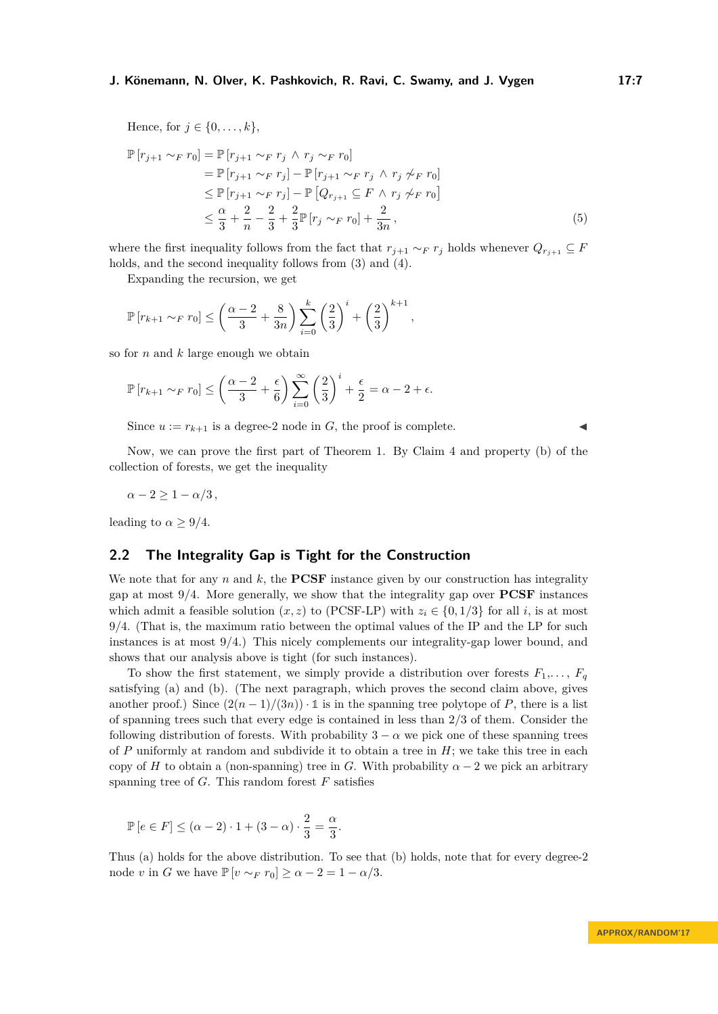Hence, for  $j \in \{0, ..., k\},\$ 

<span id="page-6-0"></span>
$$
\mathbb{P}\left[r_{j+1} \sim_F r_0\right] = \mathbb{P}\left[r_{j+1} \sim_F r_j \land r_j \sim_F r_0\right]
$$
  
\n
$$
= \mathbb{P}\left[r_{j+1} \sim_F r_j\right] - \mathbb{P}\left[r_{j+1} \sim_F r_j \land r_j \not\sim_F r_0\right]
$$
  
\n
$$
\leq \mathbb{P}\left[r_{j+1} \sim_F r_j\right] - \mathbb{P}\left[Q_{r_{j+1}} \subseteq F \land r_j \not\sim_F r_0\right]
$$
  
\n
$$
\leq \frac{\alpha}{3} + \frac{2}{n} - \frac{2}{3} + \frac{2}{3} \mathbb{P}\left[r_j \sim_F r_0\right] + \frac{2}{3n},
$$
\n(5)

where the first inequality follows from the fact that  $r_{j+1} \sim_F r_j$  holds whenever  $Q_{r_{j+1}} \subseteq F$ holds, and the second inequality follows from  $(3)$  and  $(4)$ .

Expanding the recursion, we get

$$
\mathbb{P}[r_{k+1} \sim_F r_0] \le \left(\frac{\alpha - 2}{3} + \frac{8}{3n}\right) \sum_{i=0}^k \left(\frac{2}{3}\right)^i + \left(\frac{2}{3}\right)^{k+1},
$$

so for *n* and *k* large enough we obtain

$$
\mathbb{P}\left[r_{k+1} \sim_F r_0\right] \le \left(\frac{\alpha - 2}{3} + \frac{\epsilon}{6}\right) \sum_{i=0}^{\infty} \left(\frac{2}{3}\right)^i + \frac{\epsilon}{2} = \alpha - 2 + \epsilon.
$$

Since  $u := r_{k+1}$  is a degree-2 node in *G*, the proof is complete.

Now, we can prove the first part of Theorem [1.](#page-2-0) By Claim [4](#page-5-2) and property (b) of the collection of forests, we get the inequality

 $\alpha - 2 \geq 1 - \alpha/3$ ,

leading to  $\alpha > 9/4$ .

## **2.2 The Integrality Gap is Tight for the Construction**

We note that for any  $n$  and  $k$ , the **PCSF** instance given by our construction has integrality gap at most 9*/*4. More generally, we show that the integrality gap over **PCSF** instances which admit a feasible solution  $(x, z)$  to [\(PCSF-LP\)](#page-1-0) with  $z_i \in \{0, 1/3\}$  for all *i*, is at most 9*/*4. (That is, the maximum ratio between the optimal values of the IP and the LP for such instances is at most 9*/*4.) This nicely complements our integrality-gap lower bound, and shows that our analysis above is tight (for such instances).

To show the first statement, we simply provide a distribution over forests  $F_1, \ldots, F_q$ satisfying (a) and (b). (The next paragraph, which proves the second claim above, gives another proof.) Since  $(2(n-1)/(3n)) \cdot 1$  is in the spanning tree polytope of *P*, there is a list of spanning trees such that every edge is contained in less than 2*/*3 of them. Consider the following distribution of forests. With probability  $3 - \alpha$  we pick one of these spanning trees of *P* uniformly at random and subdivide it to obtain a tree in *H*; we take this tree in each copy of *H* to obtain a (non-spanning) tree in *G*. With probability  $\alpha - 2$  we pick an arbitrary spanning tree of  $G$ . This random forest  $F$  satisfies

$$
\mathbb{P}\left[e \in F\right] \leq (\alpha - 2) \cdot 1 + (3 - \alpha) \cdot \frac{2}{3} = \frac{\alpha}{3}.
$$

Thus (a) holds for the above distribution. To see that (b) holds, note that for every degree-2 node *v* in *G* we have  $\mathbb{P}[v \sim_F r_0] \ge \alpha - 2 = 1 - \alpha/3$ .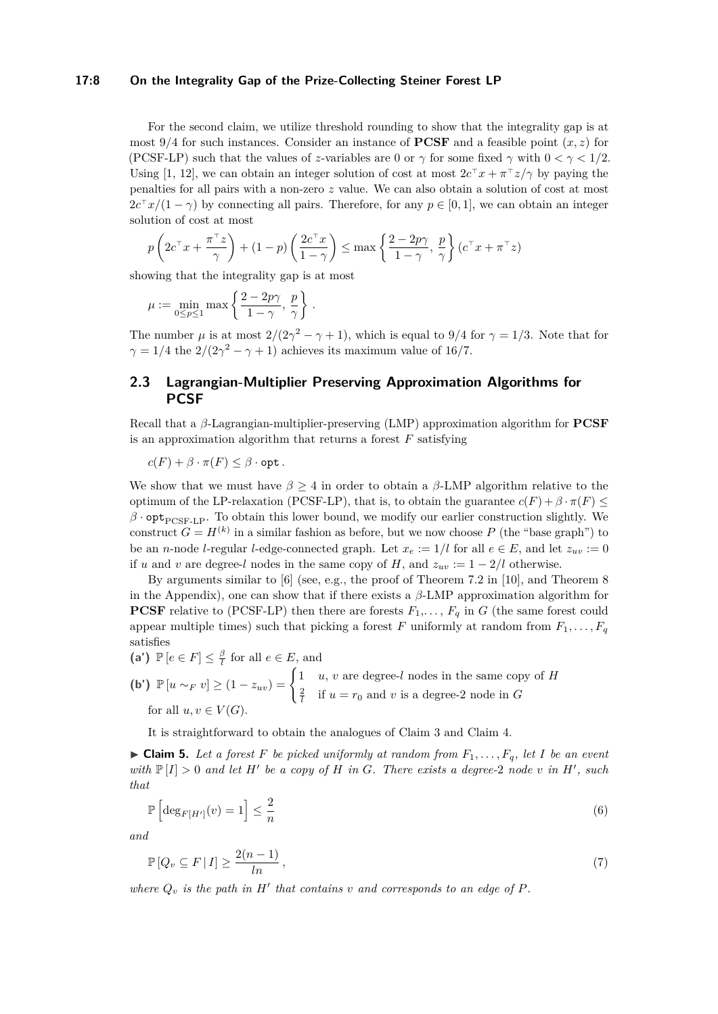### **17:8 On the Integrality Gap of the Prize-Collecting Steiner Forest LP**

For the second claim, we utilize threshold rounding to show that the integrality gap is at most 9*/*4 for such instances. Consider an instance of **PCSF** and a feasible point (*x, z*) for [\(PCSF-LP\)](#page-1-0) such that the values of *z*-variables are 0 or  $\gamma$  for some fixed  $\gamma$  with  $0 < \gamma < 1/2$ . Using [\[1,](#page-10-3) [12\]](#page-10-4), we can obtain an integer solution of cost at most  $2c^{\top}x + \pi^{\top}z/\gamma$  by paying the penalties for all pairs with a non-zero *z* value. We can also obtain a solution of cost at most  $2c^{\top}x/(1-\gamma)$  by connecting all pairs. Therefore, for any  $p \in [0,1]$ , we can obtain an integer solution of cost at most

$$
p\left(2c^{\top}x + \frac{\pi^{\top}z}{\gamma}\right) + (1-p)\left(\frac{2c^{\top}x}{1-\gamma}\right) \le \max\left\{\frac{2-2p\gamma}{1-\gamma}, \frac{p}{\gamma}\right\}(c^{\top}x + \pi^{\top}z)
$$

showing that the integrality gap is at most

$$
\mu := \min_{0 \le p \le 1} \max \left\{ \frac{2 - 2p\gamma}{1 - \gamma}, \frac{p}{\gamma} \right\}.
$$

The number  $\mu$  is at most  $2/(2\gamma^2 - \gamma + 1)$ , which is equal to 9/4 for  $\gamma = 1/3$ . Note that for  $\gamma = 1/4$  the  $2/(2\gamma^2 - \gamma + 1)$  achieves its maximum value of 16/7.

## <span id="page-7-0"></span>**2.3 Lagrangian-Multiplier Preserving Approximation Algorithms for PCSF**

Recall that a *β*-Lagrangian-multiplier-preserving (LMP) approximation algorithm for **PCSF** is an approximation algorithm that returns a forest *F* satisfying

$$
c(F) + \beta \cdot \pi(F) \leq \beta \cdot \mathsf{opt}.
$$

We show that we must have *β* ≥ 4 in order to obtain a *β*-LMP algorithm relative to the optimum of the LP-relaxation [\(PCSF-LP\)](#page-1-0), that is, to obtain the guarantee  $c(F) + \beta \cdot \pi(F) \leq$  $\beta$  · opt<sub>[PCSF-LP](#page-1-0)</sub>. To obtain this lower bound, we modify our earlier construction slightly. We construct  $G = H^{(k)}$  in a similar fashion as before, but we now choose P (the "base graph") to be an *n*-node *l*-regular *l*-edge-connected graph. Let  $x_e := 1/l$  for all  $e \in E$ , and let  $z_{uv} := 0$ if *u* and *v* are degree-*l* nodes in the same copy of *H*, and  $z_{uv} := 1 - 2/l$  otherwise.

By arguments similar to [\[6\]](#page-10-12) (see, e.g., the proof of Theorem 7.2 in [\[10\]](#page-10-15), and Theorem [8](#page-11-4) in the Appendix), one can show that if there exists a *β*-LMP approximation algorithm for **PCSF** relative to [\(PCSF-LP\)](#page-1-0) then there are forests  $F_1, \ldots, F_q$  in *G* (the same forest could appear multiple times) such that picking a forest *F* uniformly at random from  $F_1, \ldots, F_q$ satisfies

(a') 
$$
\mathbb{P}\left[e \in F\right] \leq \frac{\beta}{l}
$$
 for all  $e \in E$ , and

**(b')**  $\mathbb{P}[u \sim_F v] \geq (1 - z_{uv}) = \begin{cases} 1 & u, v \text{ are degree-}l \text{ nodes in the same copy of } H \\ 2 & u \text{ is even} \end{cases}$  $\frac{2}{l}$  if  $u = r_0$  and *v* is a degree-2 node in *G* for all  $u, v \in V(G)$ .

It is straightforward to obtain the analogues of Claim [3](#page-4-2) and Claim [4.](#page-5-2)

 $\triangleright$  **Claim 5.** Let a forest F be picked uniformly at random from  $F_1, \ldots, F_q$ , let I be an event *with*  $\mathbb{P}[I] > 0$  *and let*  $H'$  *be a copy of*  $H$  *in*  $G$ *. There exists a degree-2 node v in*  $H'$ *, such that*

$$
\mathbb{P}\left[\deg_{F[H']}(v) = 1\right] \le \frac{2}{n} \tag{6}
$$

*and*

$$
\mathbb{P}\left[Q_v \subseteq F \mid I\right] \ge \frac{2(n-1)}{\ln},\tag{7}
$$

where  $Q_v$  is the path in  $H'$  that contains  $v$  and corresponds to an edge of  $P$ .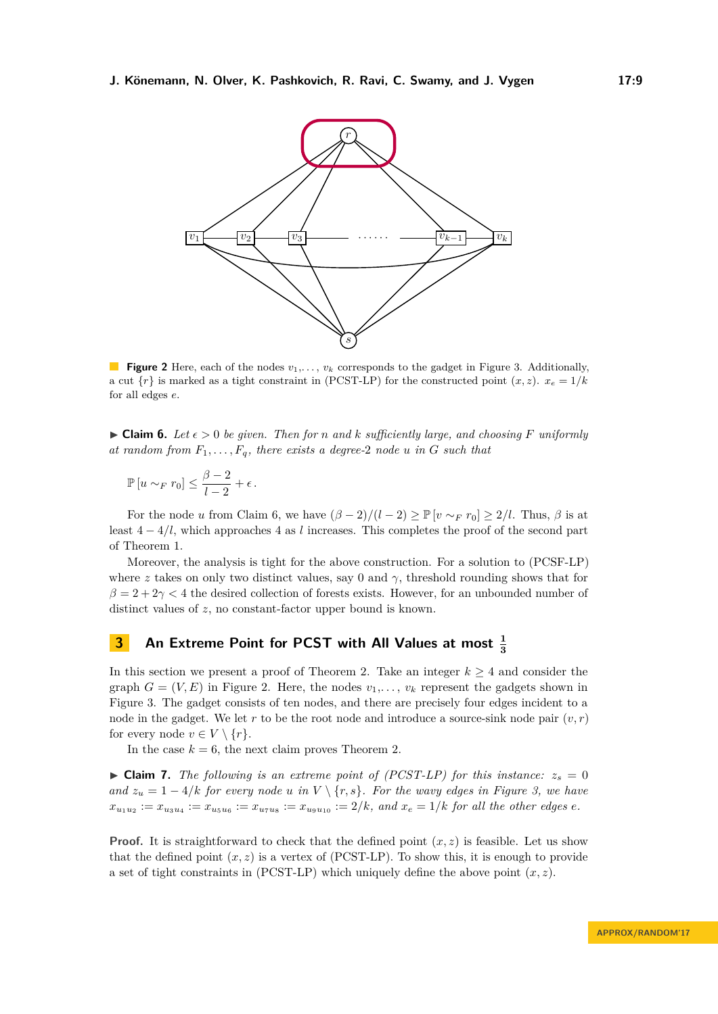<span id="page-8-1"></span>

**Figure 2** Here, each of the nodes  $v_1, \ldots, v_k$  corresponds to the gadget in Figure [3.](#page-9-0) Additionally, a cut  $\{r\}$  is marked as a tight constraint in (PCST-LP) for the constructed point  $(x, z)$ .  $x_e = 1/k$ for all edges *e*.

<span id="page-8-0"></span> $\triangleright$  **Claim 6.** Let  $\epsilon > 0$  be given. Then for *n* and *k* sufficiently large, and choosing F uniformly *at random from*  $F_1, \ldots, F_q$ *, there exists a degree-2 node u in G such that* 

$$
\mathbb{P}\left[u \sim_F r_0\right] \leq \frac{\beta - 2}{l - 2} + \epsilon.
$$

For the node *u* from Claim [6,](#page-8-0) we have  $(\beta - 2)/(l - 2) \ge \mathbb{P}[v \sim_F r_0] \ge 2/l$ . Thus,  $\beta$  is at least 4 − 4*/l*, which approaches 4 as *l* increases. This completes the proof of the second part of Theorem [1.](#page-2-0)

Moreover, the analysis is tight for the above construction. For a solution to [\(PCSF-LP\)](#page-1-0) where *z* takes on only two distinct values, say 0 and  $\gamma$ , threshold rounding shows that for  $\beta = 2 + 2\gamma < 4$  the desired collection of forests exists. However, for an unbounded number of distinct values of *z*, no constant-factor upper bound is known.

## **3** An Extreme Point for PCST with All Values at most  $\frac{1}{3}$

In this section we present a proof of Theorem [2.](#page-3-0) Take an integer  $k \geq 4$  and consider the graph  $G = (V, E)$  in Figure [2.](#page-8-1) Here, the nodes  $v_1, \ldots, v_k$  represent the gadgets shown in Figure [3.](#page-9-0) The gadget consists of ten nodes, and there are precisely four edges incident to a node in the gadget. We let r to be the root node and introduce a source-sink node pair  $(v, r)$ for every node  $v \in V \setminus \{r\}.$ 

In the case  $k = 6$ , the next claim proves Theorem [2.](#page-3-0)

<span id="page-8-2"></span> $\triangleright$  **Claim 7.** The following is an extreme point of (PCST-LP) for this instance:  $z_s = 0$ *and*  $z_u = 1 - 4/k$  *for every node u in*  $V \setminus \{r, s\}$ *. For the wavy edges in Figure* [3,](#page-9-0) *we have*  $x_{u_1u_2} := x_{u_3u_4} := x_{u_5u_6} := x_{u_7u_8} := x_{u_9u_{10}} := 2/k$ , and  $x_e = 1/k$  for all the other edges e.

**Proof.** It is straightforward to check that the defined point  $(x, z)$  is feasible. Let us show that the defined point  $(x, z)$  is a vertex of (PCST-LP). To show this, it is enough to provide a set of tight constraints in  $(PCST-LP)$  which uniquely define the above point  $(x, z)$ .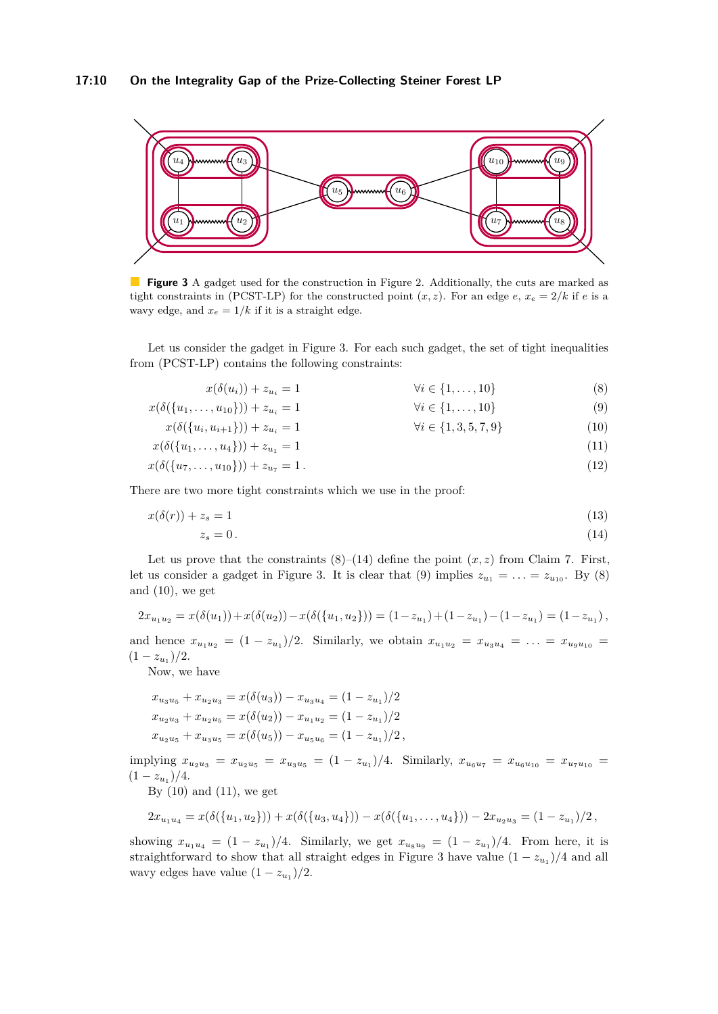## **17:10 On the Integrality Gap of the Prize-Collecting Steiner Forest LP**

<span id="page-9-0"></span>

**Figure 3** A gadget used for the construction in Figure [2.](#page-8-1) Additionally, the cuts are marked as tight constraints in (PCST-LP) for the constructed point  $(x, z)$ . For an edge  $e, x_e = 2/k$  if  $e$  is a wavy edge, and  $x_e = 1/k$  if it is a straight edge.

Let us consider the gadget in Figure [3.](#page-9-0) For each such gadget, the set of tight inequalities from (PCST-LP) contains the following constraints:

<span id="page-9-1"></span>

| $x(\delta(u_i)) + z_{u_i} = 1$                   | $\forall i \in \{1,\ldots,10\}$   | (8)  |
|--------------------------------------------------|-----------------------------------|------|
| $x(\delta({u_1,\ldots,u_{10}})) + z_{u_i} = 1$   | $\forall i \in \{1,\ldots,10\}$   | (9)  |
| $x(\delta({u_i, u_{i+1}})) + z_{u_i} = 1$        | $\forall i \in \{1, 3, 5, 7, 9\}$ | (10) |
| $x(\delta({u_1,\ldots,u_4})) + z_{u_1} = 1$      |                                   | (11) |
| $x(\delta({u_7,\ldots,u_{10}})) + z_{u_7} = 1$ . |                                   | (12) |

There are two more tight constraints which we use in the proof:

$$
x(\delta(r)) + z_s = 1 \tag{13}
$$

<span id="page-9-6"></span><span id="page-9-5"></span><span id="page-9-4"></span><span id="page-9-3"></span><span id="page-9-2"></span>
$$
z_s = 0.\t\t(14)
$$

Let us prove that the constraints  $(8)$ – $(14)$  define the point  $(x, z)$  from Claim [7.](#page-8-2) First, let us consider a gadget in Figure [3.](#page-9-0) It is clear that [\(9\)](#page-9-3) implies  $z_{u_1} = \ldots = z_{u_{10}}$ . By [\(8\)](#page-9-1) and  $(10)$ , we get

$$
2x_{u_1u_2} = x(\delta(u_1)) + x(\delta(u_2)) - x(\delta(\{u_1, u_2\})) = (1 - z_{u_1}) + (1 - z_{u_1}) - (1 - z_{u_1}) = (1 - z_{u_1}),
$$

and hence  $x_{u_1u_2} = (1 - z_{u_1})/2$ . Similarly, we obtain  $x_{u_1u_2} = x_{u_3u_4} = \ldots = x_{u_9u_{10}} =$  $(1-z_{u_1})/2.$ 

Now, we have

$$
x_{u_3u_5} + x_{u_2u_3} = x(\delta(u_3)) - x_{u_3u_4} = (1 - z_{u_1})/2
$$
  
\n
$$
x_{u_2u_3} + x_{u_2u_5} = x(\delta(u_2)) - x_{u_1u_2} = (1 - z_{u_1})/2
$$
  
\n
$$
x_{u_2u_5} + x_{u_3u_5} = x(\delta(u_5)) - x_{u_5u_6} = (1 - z_{u_1})/2,
$$

implying  $x_{u_2u_3} = x_{u_2u_5} = x_{u_3u_5} = (1 - z_{u_1})/4$ . Similarly,  $x_{u_6u_7} = x_{u_6u_{10}} = x_{u_7u_{10}} =$  $(1 - z_{u_1})/4.$ 

By  $(10)$  and  $(11)$ , we get

$$
2x_{u_1u_4}=x(\delta(\{u_1,u_2\}))+x(\delta(\{u_3,u_4\})) - x(\delta(\{u_1,\ldots,u_4\})) - 2x_{u_2u_3} = (1-z_{u_1})/2,
$$

showing  $x_{u_1u_4} = (1 - z_{u_1})/4$ . Similarly, we get  $x_{u_8u_9} = (1 - z_{u_1})/4$ . From here, it is straightforward to show that all straight edges in Figure [3](#page-9-0) have value  $(1 - z_{u_1})/4$  and all wavy edges have value  $(1 - z_{u_1})/2$ .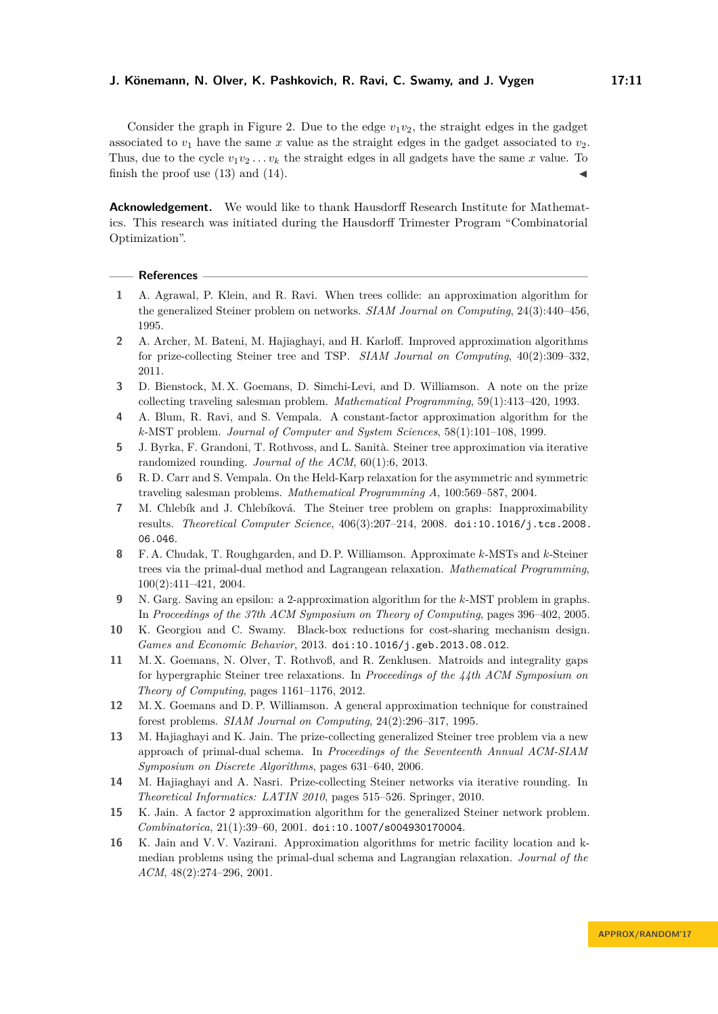Consider the graph in Figure [2.](#page-8-1) Due to the edge  $v_1v_2$ , the straight edges in the gadget associated to  $v_1$  have the same x value as the straight edges in the gadget associated to  $v_2$ . Thus, due to the cycle  $v_1v_2...v_k$  the straight edges in all gadgets have the same x value. To finish the proof use  $(13)$  and  $(14)$ .

**Acknowledgement.** We would like to thank Hausdorff Research Institute for Mathematics. This research was initiated during the Hausdorff Trimester Program "Combinatorial Optimization".

#### **References**

- <span id="page-10-3"></span>**1** A. Agrawal, P. Klein, and R. Ravi. When trees collide: an approximation algorithm for the generalized Steiner problem on networks. *SIAM Journal on Computing*, 24(3):440–456, 1995.
- <span id="page-10-10"></span>**2** A. Archer, M. Bateni, M. Hajiaghayi, and H. Karloff. Improved approximation algorithms for prize-collecting Steiner tree and TSP. *SIAM Journal on Computing*, 40(2):309–332, 2011.
- <span id="page-10-5"></span>**3** D. Bienstock, M. X. Goemans, D. Simchi-Levi, and D. Williamson. A note on the prize collecting traveling salesman problem. *Mathematical Programming*, 59(1):413–420, 1993.
- <span id="page-10-6"></span>**4** A. Blum, R. Ravi, and S. Vempala. A constant-factor approximation algorithm for the *k*-MST problem. *Journal of Computer and System Sciences*, 58(1):101–108, 1999.
- <span id="page-10-1"></span>**5** J. Byrka, F. Grandoni, T. Rothvoss, and L. Sanità. Steiner tree approximation via iterative randomized rounding. *Journal of the ACM*, 60(1):6, 2013.
- <span id="page-10-12"></span>**6** R. D. Carr and S. Vempala. On the Held-Karp relaxation for the asymmetric and symmetric traveling salesman problems. *Mathematical Programming A*, 100:569–587, 2004.
- <span id="page-10-0"></span>**7** M. Chlebík and J. Chlebíková. The Steiner tree problem on graphs: Inapproximability results. *Theoretical Computer Science*, 406(3):207–214, 2008. [doi:10.1016/j.tcs.2008.](http://dx.doi.org/10.1016/j.tcs.2008.06.046) [06.046](http://dx.doi.org/10.1016/j.tcs.2008.06.046).
- <span id="page-10-8"></span>**8** F. A. Chudak, T. Roughgarden, and D. P. Williamson. Approximate *k*-MSTs and *k*-Steiner trees via the primal-dual method and Lagrangean relaxation. *Mathematical Programming*, 100(2):411–421, 2004.
- <span id="page-10-9"></span>**9** N. Garg. Saving an epsilon: a 2-approximation algorithm for the *k*-MST problem in graphs. In *Proceedings of the 37th ACM Symposium on Theory of Computing*, pages 396–402, 2005.
- <span id="page-10-15"></span>**10** K. Georgiou and C. Swamy. Black-box reductions for cost-sharing mechanism design. *Games and Economic Behavior*, 2013. [doi:10.1016/j.geb.2013.08.012](http://dx.doi.org/10.1016/j.geb.2013.08.012).
- <span id="page-10-2"></span>**11** M. X. Goemans, N. Olver, T. Rothvoß, and R. Zenklusen. Matroids and integrality gaps for hypergraphic Steiner tree relaxations. In *Proceedings of the 44th ACM Symposium on Theory of Computing*, pages 1161–1176, 2012.
- <span id="page-10-4"></span>**12** M. X. Goemans and D. P. Williamson. A general approximation technique for constrained forest problems. *SIAM Journal on Computing*, 24(2):296–317, 1995.
- <span id="page-10-11"></span>**13** M. Hajiaghayi and K. Jain. The prize-collecting generalized Steiner tree problem via a new approach of primal-dual schema. In *Proceedings of the Seventeenth Annual ACM-SIAM Symposium on Discrete Algorithms*, pages 631–640, 2006.
- <span id="page-10-14"></span>**14** M. Hajiaghayi and A. Nasri. Prize-collecting Steiner networks via iterative rounding. In *Theoretical Informatics: LATIN 2010*, pages 515–526. Springer, 2010.
- <span id="page-10-13"></span>**15** K. Jain. A factor 2 approximation algorithm for the generalized Steiner network problem. *Combinatorica*, 21(1):39–60, 2001. [doi:10.1007/s004930170004](http://dx.doi.org/10.1007/s004930170004).
- <span id="page-10-7"></span>**16** K. Jain and V. V. Vazirani. Approximation algorithms for metric facility location and kmedian problems using the primal-dual schema and Lagrangian relaxation. *Journal of the ACM*, 48(2):274–296, 2001.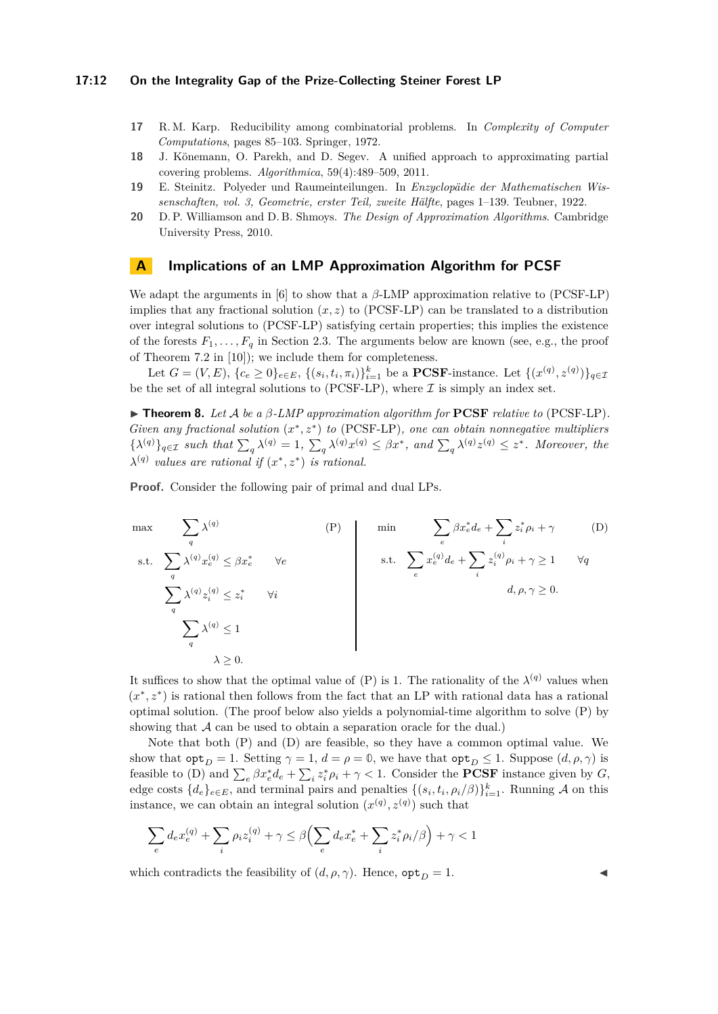### **17:12 On the Integrality Gap of the Prize-Collecting Steiner Forest LP**

- <span id="page-11-0"></span>**17** R. M. Karp. Reducibility among combinatorial problems. In *Complexity of Computer Computations*, pages 85–103. Springer, 1972.
- <span id="page-11-2"></span>**18** J. Könemann, O. Parekh, and D. Segev. A unified approach to approximating partial covering problems. *Algorithmica*, 59(4):489–509, 2011.
- <span id="page-11-3"></span>**19** E. Steinitz. Polyeder und Raumeinteilungen. In *Enzyclopädie der Mathematischen Wissenschaften, vol. 3, Geometrie, erster Teil, zweite Hälfte*, pages 1–139. Teubner, 1922.
- <span id="page-11-1"></span>**20** D. P. Williamson and D. B. Shmoys. *The Design of Approximation Algorithms*. Cambridge University Press, 2010.

## **A Implications of an LMP Approximation Algorithm for PCSF**

We adapt the arguments in [\[6\]](#page-10-12) to show that a *β*-LMP approximation relative to [\(PCSF-LP\)](#page-1-0) implies that any fractional solution  $(x, z)$  to [\(PCSF-LP\)](#page-1-0) can be translated to a distribution over integral solutions to [\(PCSF-LP\)](#page-1-0) satisfying certain properties; this implies the existence of the forests  $F_1, \ldots, F_q$  in Section [2.3.](#page-7-0) The arguments below are known (see, e.g., the proof of Theorem 7.2 in [\[10\]](#page-10-15)); we include them for completeness.

Let  $G = (V, E), \{c_e \ge 0\}_{e \in E}, \{(s_i, t_i, \pi_i)\}_{i=1}^k$  be a **PCSF**-instance. Let  $\{(x^{(q)}, z^{(q)})\}_{q \in \mathcal{I}}$ be the set of all integral solutions to [\(PCSF-LP\)](#page-1-0), where  $\mathcal I$  is simply an index set.

<span id="page-11-4"></span>I **Theorem 8.** *Let* A *be a β-LMP approximation algorithm for* **PCSF** *relative to* [\(PCSF-LP\)](#page-1-0)*. Given any fractional solution*  $(x^*, z^*)$  *to* [\(PCSF-LP\)](#page-1-0)*, one can obtain nonnegative multipliers*  $\{\lambda^{(q)}\}_{q\in\mathcal{I}}$  such that  $\sum_{q}\lambda^{(q)}=1$ ,  $\sum_{q}\lambda^{(q)}x^{(q)} \leq \beta x^*$ , and  $\sum_{q}\lambda^{(q)}z^{(q)} \leq z^*$ . Moreover, the  $\lambda^{(q)}$  values are rational if  $(x^*, z^*)$  is rational.

**Proof.** Consider the following pair of primal and dual LPs.

<span id="page-11-5"></span>
$$
\max \sum_{q} \lambda^{(q)} \sum_{x \in \mathcal{X}} \lambda^{(q)} x_e^{(q)} \leq \beta x_e^* \quad \forall e
$$
\n
$$
\sum_{q} \lambda^{(q)} x_e^{(q)} \leq z_i^* \quad \forall i
$$
\n
$$
\sum_{q} \lambda^{(q)} z_i^{(q)} \leq z_i^* \quad \forall i
$$
\n
$$
\sum_{q} \lambda^{(q)} \leq 1
$$
\n
$$
\lambda \geq 0.
$$
\n
$$
(P) \min \sum_{e} \beta x_e^* d_e + \sum_{i} z_i^* \rho_i + \gamma \quad (D) \in \mathcal{A}
$$
\n
$$
\text{s.t. } \sum_{e} x_e^{(q)} d_e + \sum_{i} z_i^{(q)} \rho_i + \gamma \geq 1 \quad \forall q \in \mathcal{A}
$$
\n
$$
d, \rho, \gamma \geq 0.
$$

It suffices to show that the optimal value of [\(P\)](#page-11-5) is 1. The rationality of the  $\lambda^{(q)}$  values when  $(x^*, z^*)$  is rational then follows from the fact that an LP with rational data has a rational optimal solution. (The proof below also yields a polynomial-time algorithm to solve [\(P\)](#page-11-5) by showing that  $A$  can be used to obtain a separation oracle for the dual.)

Note that both [\(P\)](#page-11-5) and [\(D\)](#page-11-6) are feasible, so they have a common optimal value. We show that  $\text{opt}_D = 1$  $\text{opt}_D = 1$  $\text{opt}_D = 1$ . Setting  $\gamma = 1$ ,  $d = \rho = \mathbb{0}$ , we have that  $\text{opt}_D \leq 1$ . Suppose  $(d, \rho, \gamma)$  is feasible to [\(D\)](#page-11-6) and  $\sum_{e} \beta x_e^* d_e + \sum_{i} z_i^* \rho_i + \gamma < 1$ . Consider the **PCSF** instance given by *G*, edge costs  $\{d_e\}_{e \in E}$ , and terminal pairs and penalties  $\{(s_i, t_i, \rho_i/\beta)\}_{i=1}^k$ . Running A on this instance, we can obtain an integral solution  $(x^{(q)}, z^{(q)})$  such that

$$
\sum_e d_e x^{(q)}_e + \sum_i \rho_i z^{(q)}_i + \gamma \leq \beta \Bigl(\sum_e d_e x^*_e + \sum_i z^*_i \rho_i / \beta \Bigr) + \gamma < 1
$$

which contradicts the feasibility of  $(d, \rho, \gamma)$ . Hence,  $\texttt{opt}_D = 1$  $\texttt{opt}_D = 1$  $\texttt{opt}_D = 1$ .

<span id="page-11-6"></span>